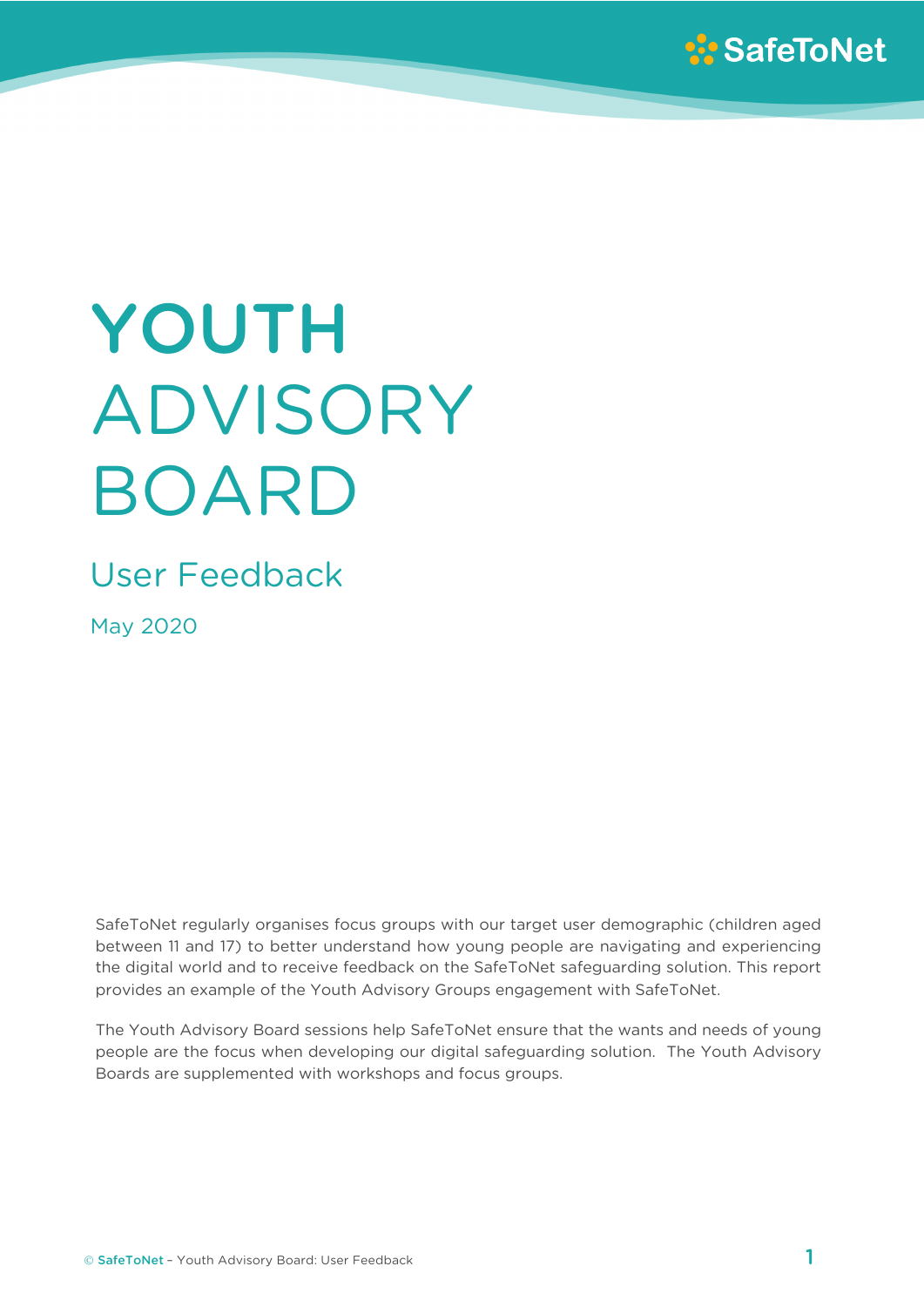

# YOUTH ADVISORY BOARD

# User Feedback

May 2020

SafeToNet regularly organises focus groups with our target user demographic (children aged between 11 and 17) to better understand how young people are navigating and experiencing the digital world and to receive feedback on the SafeToNet safeguarding solution. This report provides an example of the Youth Advisory Groups engagement with SafeToNet.

The Youth Advisory Board sessions help SafeToNet ensure that the wants and needs of young people are the focus when developing our digital safeguarding solution. The Youth Advisory Boards are supplemented with workshops and focus groups.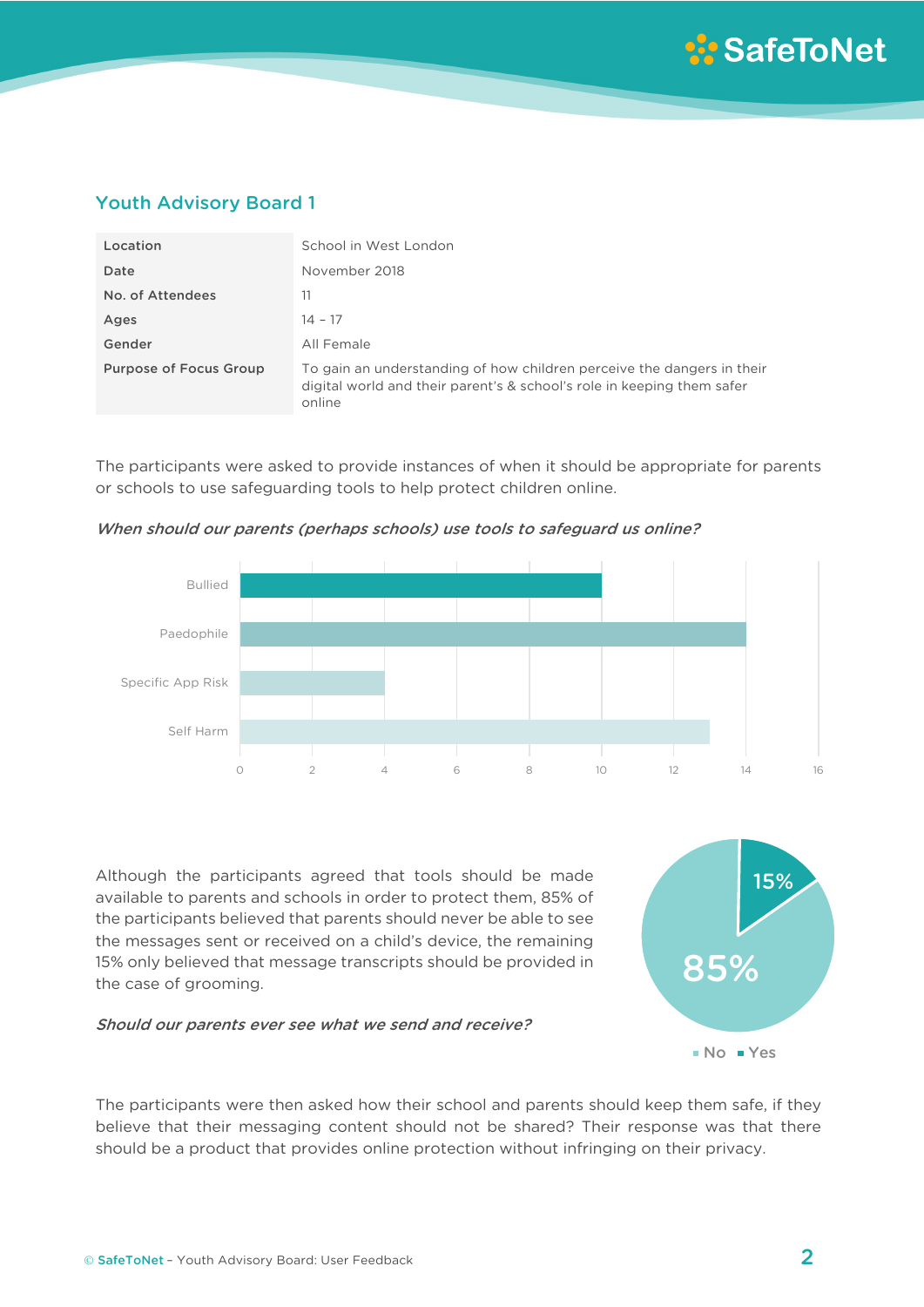# Youth Advisory Board 1

| Location                      | School in West London                                                                                                                                      |
|-------------------------------|------------------------------------------------------------------------------------------------------------------------------------------------------------|
| Date                          | November 2018                                                                                                                                              |
| No. of Attendees              | 11                                                                                                                                                         |
| Ages                          | $14 - 17$                                                                                                                                                  |
| Gender                        | All Female                                                                                                                                                 |
| <b>Purpose of Focus Group</b> | To gain an understanding of how children perceive the dangers in their<br>digital world and their parent's & school's role in keeping them safer<br>online |

The participants were asked to provide instances of when it should be appropriate for parents or schools to use safeguarding tools to help protect children online.



When should our parents (perhaps schools) use tools to safeguard us online?

Although the participants agreed that tools should be made available to parents and schools in order to protect them, 85% of the participants believed that parents should never be able to see the messages sent or received on a child's device, the remaining 15% only believed that message transcripts should be provided in the case of grooming.

#### Should our parents ever see what we send and receive?



The participants were then asked how their school and parents should keep them safe, if they believe that their messaging content should not be shared? Their response was that there should be a product that provides online protection without infringing on their privacy.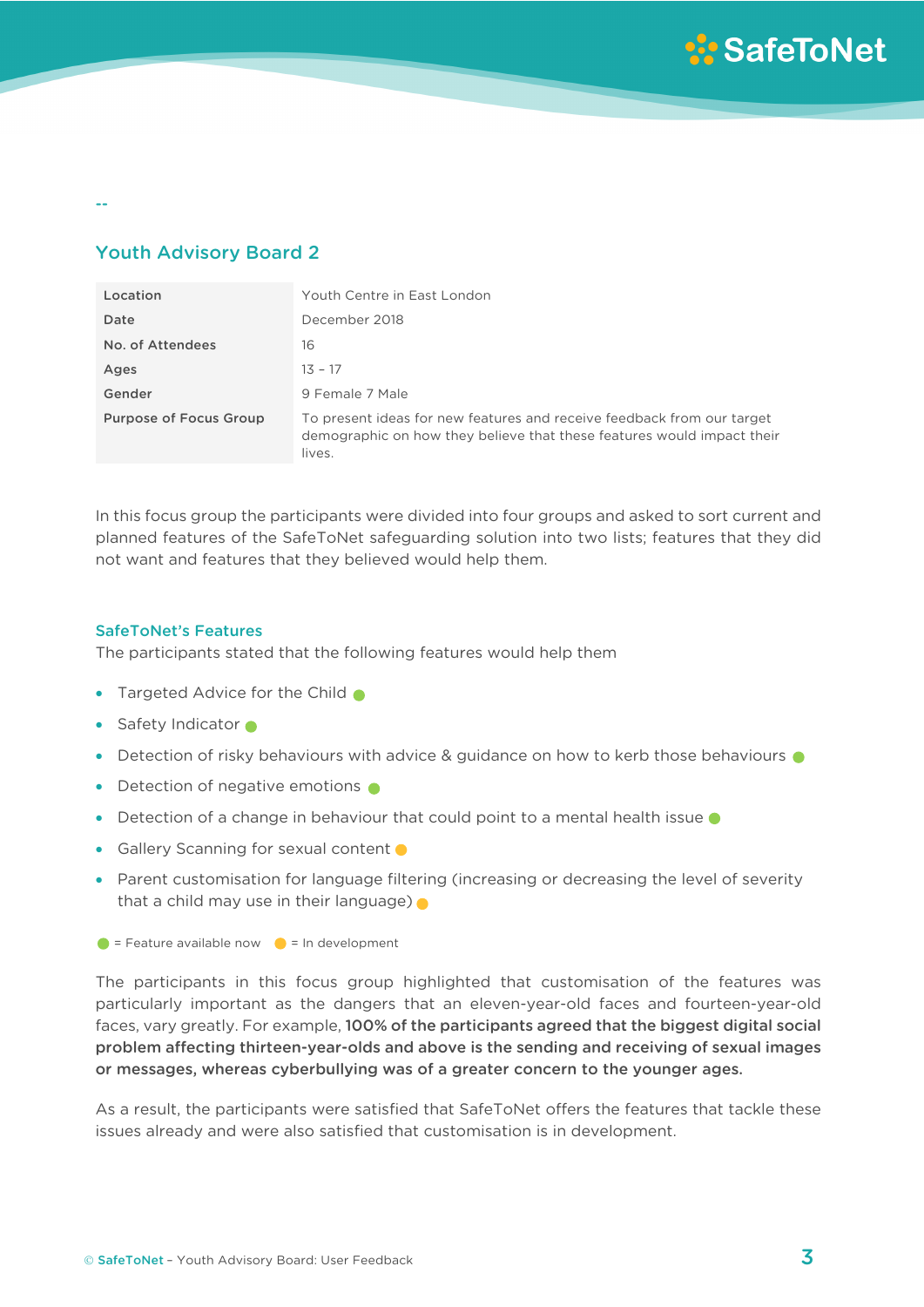--

# Youth Advisory Board 2

| Location               | Youth Centre in East London                                                                                                                                |
|------------------------|------------------------------------------------------------------------------------------------------------------------------------------------------------|
| Date                   | December 2018                                                                                                                                              |
| No. of Attendees       | 16                                                                                                                                                         |
| Ages                   | $13 - 17$                                                                                                                                                  |
| Gender                 | 9 Female 7 Male                                                                                                                                            |
| Purpose of Focus Group | To present ideas for new features and receive feedback from our target<br>demographic on how they believe that these features would impact their<br>lives. |

In this focus group the participants were divided into four groups and asked to sort current and planned features of the SafeToNet safeguarding solution into two lists; features that they did not want and features that they believed would help them.

### SafeToNet's Features

The participants stated that the following features would help them

- Targeted Advice for the Child •
- Safety Indicator •
- Detection of risky behaviours with advice & guidance on how to kerb those behaviours  $\bullet$
- Detection of negative emotions  $\bullet$
- Detection of a change in behaviour that could point to a mental health issue  $\bullet$
- Gallery Scanning for sexual content  $\bullet$
- Parent customisation for language filtering (increasing or decreasing the level of severity that a child may use in their language)
- $\bullet$  = Feature available now  $\bullet$  = In development

The participants in this focus group highlighted that customisation of the features was particularly important as the dangers that an eleven-year-old faces and fourteen-year-old faces, vary greatly. For example, 100% of the participants agreed that the biggest digital social problem affecting thirteen-year-olds and above is the sending and receiving of sexual images or messages, whereas cyberbullying was of a greater concern to the younger ages.

As a result, the participants were satisfied that SafeToNet offers the features that tackle these issues already and were also satisfied that customisation is in development.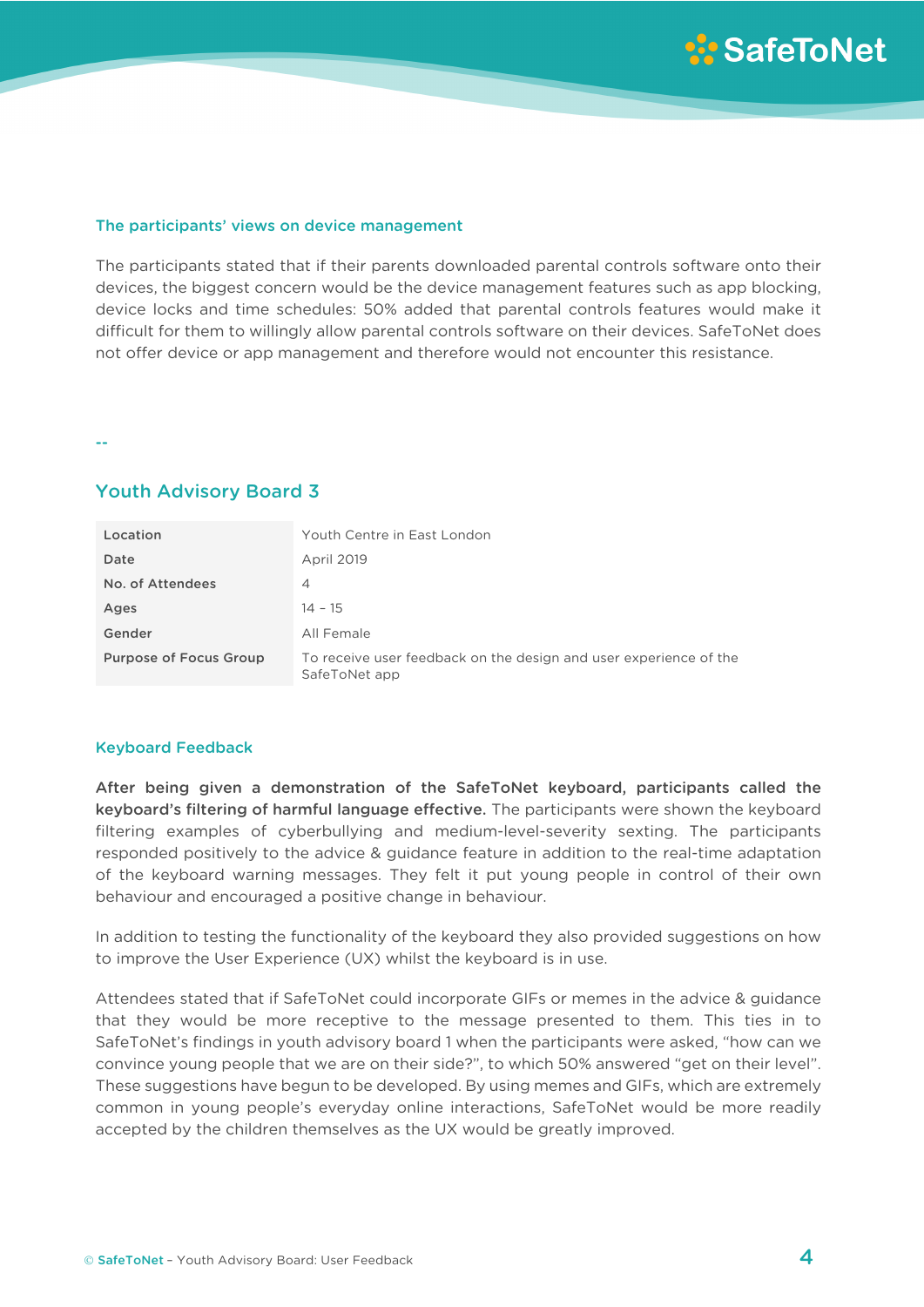#### The participants' views on device management

The participants stated that if their parents downloaded parental controls software onto their devices, the biggest concern would be the device management features such as app blocking, device locks and time schedules: 50% added that parental controls features would make it difficult for them to willingly allow parental controls software on their devices. SafeToNet does not offer device or app management and therefore would not encounter this resistance.

--

## Youth Advisory Board 3

| Location                      | Youth Centre in East London                                                        |
|-------------------------------|------------------------------------------------------------------------------------|
| Date                          | <b>April 2019</b>                                                                  |
| No. of Attendees              | 4                                                                                  |
| Ages                          | $14 - 15$                                                                          |
| Gender                        | All Female                                                                         |
| <b>Purpose of Focus Group</b> | To receive user feedback on the design and user experience of the<br>SafeToNet app |

#### Keyboard Feedback

After being given a demonstration of the SafeToNet keyboard, participants called the keyboard's filtering of harmful language effective. The participants were shown the keyboard filtering examples of cyberbullying and medium-level-severity sexting. The participants responded positively to the advice & guidance feature in addition to the real-time adaptation of the keyboard warning messages. They felt it put young people in control of their own behaviour and encouraged a positive change in behaviour.

In addition to testing the functionality of the keyboard they also provided suggestions on how to improve the User Experience (UX) whilst the keyboard is in use.

Attendees stated that if SafeToNet could incorporate GIFs or memes in the advice & guidance that they would be more receptive to the message presented to them. This ties in to SafeToNet's findings in youth advisory board 1 when the participants were asked, "how can we convince young people that we are on their side?", to which 50% answered "get on their level". These suggestions have begun to be developed. By using memes and GIFs, which are extremely common in young people's everyday online interactions, SafeToNet would be more readily accepted by the children themselves as the UX would be greatly improved.